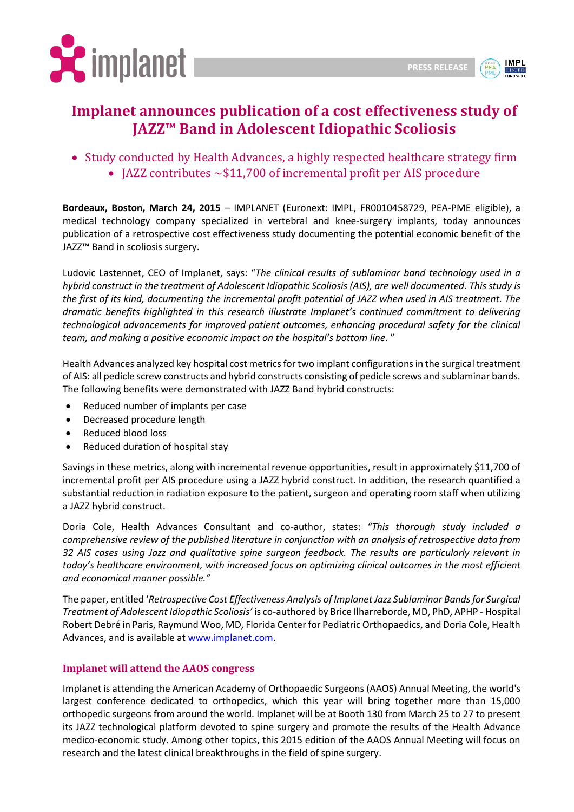



## **Implanet announces publication of a cost effectiveness study of JAZZ™ Band in Adolescent Idiopathic Scoliosis**

• Study conducted by Health Advances, a highly respected healthcare strategy firm • JAZZ contributes  $\sim$ \$11,700 of incremental profit per AIS procedure

**Bordeaux, Boston, March 24, 2015** – IMPLANET (Euronext: IMPL, FR0010458729, PEA-PME eligible), a medical technology company specialized in vertebral and knee-surgery implants, today announces publication of a retrospective cost effectiveness study documenting the potential economic benefit of the JAZZ™ Band in scoliosis surgery.

Ludovic Lastennet, CEO of Implanet, says: "*The clinical results of sublaminar band technology used in a hybrid construct in the treatment of Adolescent Idiopathic Scoliosis (AIS), are well documented. This study is the first of its kind, documenting the incremental profit potential of JAZZ when used in AIS treatment. The dramatic benefits highlighted in this research illustrate Implanet's continued commitment to delivering technological advancements for improved patient outcomes, enhancing procedural safety for the clinical team, and making a positive economic impact on the hospital's bottom line.* "

Health Advances analyzed key hospital cost metrics for two implant configurations in the surgical treatment of AIS: all pedicle screw constructs and hybrid constructs consisting of pedicle screws and sublaminar bands. The following benefits were demonstrated with JAZZ Band hybrid constructs:

- Reduced number of implants per case
- Decreased procedure length
- Reduced blood loss
- Reduced duration of hospital stay

Savings in these metrics, along with incremental revenue opportunities, result in approximately \$11,700 of incremental profit per AIS procedure using a JAZZ hybrid construct. In addition, the research quantified a substantial reduction in radiation exposure to the patient, surgeon and operating room staff when utilizing a JAZZ hybrid construct.

Doria Cole, Health Advances Consultant and co-author, states: *"This thorough study included a comprehensive review of the published literature in conjunction with an analysis of retrospective data from 32 AIS cases using Jazz and qualitative spine surgeon feedback. The results are particularly relevant in today's healthcare environment, with increased focus on optimizing clinical outcomes in the most efficient and economical manner possible."*

The paper, entitled '*Retrospective Cost Effectiveness Analysis of Implanet Jazz Sublaminar Bands for Surgical Treatment of Adolescent Idiopathic Scoliosis'* is co-authored by Brice Ilharreborde, MD, PhD, APHP - Hospital Robert Debré in Paris, Raymund Woo, MD, Florida Center for Pediatric Orthopaedics, and Doria Cole, Health Advances, and is available at [www.implanet.com.](http://www.implanet.com/)

## **Implanet will attend the AAOS congress**

Implanet is attending the American Academy of Orthopaedic Surgeons (AAOS) Annual Meeting, the world's largest conference dedicated to orthopedics, which this year will bring together more than 15,000 orthopedic surgeons from around the world. Implanet will be at Booth 130 from March 25 to 27 to present its JAZZ technological platform devoted to spine surgery and promote the results of the Health Advance medico-economic study. Among other topics, this 2015 edition of the AAOS Annual Meeting will focus on research and the latest clinical breakthroughs in the field of spine surgery.